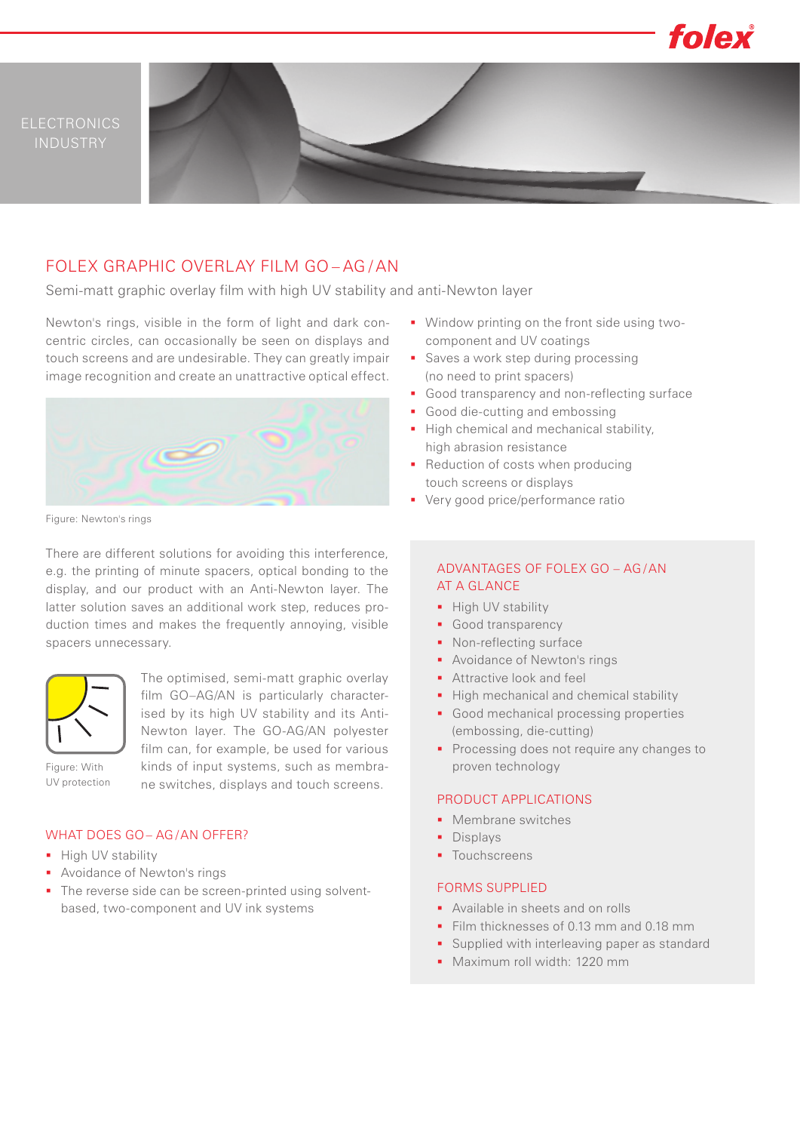

# FOLEX GRAPHIC OVERLAY FILM GO – AG / AN

Semi-matt graphic overlay film with high UV stability and anti-Newton layer

Newton's rings, visible in the form of light and dark concentric circles, can occasionally be seen on displays and touch screens and are undesirable. They can greatly impair image recognition and create an unattractive optical effect.



Figure: Newton's rings

There are different solutions for avoiding this interference, e.g. the printing of minute spacers, optical bonding to the display, and our product with an Anti-Newton layer. The latter solution saves an additional work step, reduces production times and makes the frequently annoying, visible spacers unnecessary.



The optimised, semi-matt graphic overlay film GO–AG/AN is particularly characterised by its high UV stability and its Anti-Newton layer. The GO-AG/AN polyester film can, for example, be used for various kinds of input systems, such as membrane switches, displays and touch screens.

Figure: With UV protection

## WHAT DOES GO– AG /AN OFFER?

- **High UV stability**
- **Avoidance of Newton's rings**
- The reverse side can be screen-printed using solventbased, two-component and UV ink systems
- **Window printing on the front side using two**component and UV coatings
- Saves a work step during processing (no need to print spacers)
- Good transparency and non-reflecting surface
- Good die-cutting and embossing
- High chemical and mechanical stability, high abrasion resistance
- Reduction of costs when producing touch screens or displays
- **•** Very good price/performance ratio

### ADVANTAGES OF FOLEX GO – AG /AN AT A GLANCE

- High UV stability
- Good transparency
- Non-reflecting surface
- Avoidance of Newton's rings
- **Attractive look and feel**
- High mechanical and chemical stability
- Good mechanical processing properties (embossing, die-cutting)
- Processing does not require any changes to proven technology

#### PRODUCT APPLICATIONS

- Membrane switches
- **Displays**
- **Touchscreens**

#### FORMS SUPPLIED

- **Available in sheets and on rolls**
- Film thicknesses of 0.13 mm and 0.18 mm
- **Supplied with interleaving paper as standard**
- Maximum roll width: 1220 mm